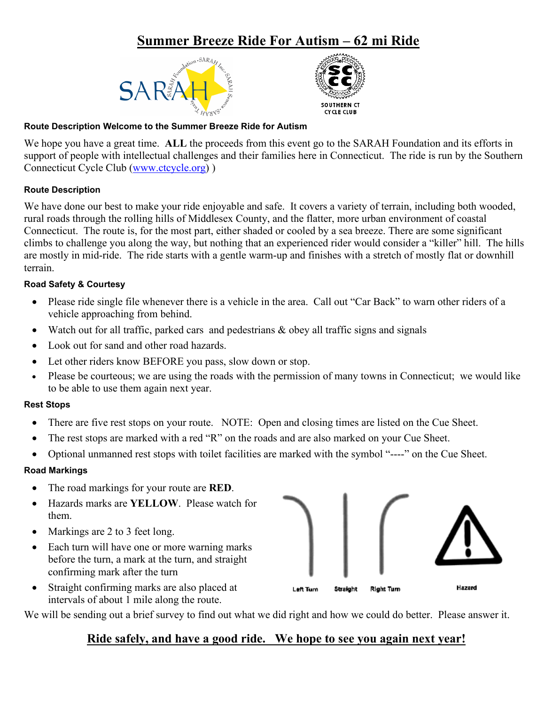## **Summer Breeze Ride For Autism – 62 mi Ride**





### **Route Description Welcome to the Summer Breeze Ride for Autism**

We hope you have a great time. **ALL** the proceeds from this event go to the SARAH Foundation and its efforts in support of people with intellectual challenges and their families here in Connecticut. The ride is run by the Southern Connecticut Cycle Club [\(www.ctcycle.org\)](http://www.ctcycle.org/) )

#### **Route Description**

We have done our best to make your ride enjoyable and safe. It covers a variety of terrain, including both wooded, rural roads through the rolling hills of Middlesex County, and the flatter, more urban environment of coastal Connecticut. The route is, for the most part, either shaded or cooled by a sea breeze. There are some significant climbs to challenge you along the way, but nothing that an experienced rider would consider a "killer" hill. The hills are mostly in mid-ride. The ride starts with a gentle warm-up and finishes with a stretch of mostly flat or downhill terrain.

#### **Road Safety & Courtesy**

- Please ride single file whenever there is a vehicle in the area. Call out "Car Back" to warn other riders of a vehicle approaching from behind.
- Watch out for all traffic, parked cars and pedestrians & obey all traffic signs and signals
- Look out for sand and other road hazards.
- Let other riders know BEFORE you pass, slow down or stop.
- Please be courteous; we are using the roads with the permission of many towns in Connecticut; we would like to be able to use them again next year.

#### **Rest Stops**

- There are five rest stops on your route. NOTE: Open and closing times are listed on the Cue Sheet.
- The rest stops are marked with a red "R" on the roads and are also marked on your Cue Sheet.
- Optional unmanned rest stops with toilet facilities are marked with the symbol "----" on the Cue Sheet.

#### **Road Markings**

- The road markings for your route are **RED**.
- Hazards marks are **YELLOW**. Please watch for them.
- Markings are 2 to 3 feet long.
- Each turn will have one or more warning marks before the turn, a mark at the turn, and straight confirming mark after the turn
- Straight confirming marks are also placed at intervals of about 1 mile along the route.

We will be sending out a brief survey to find out what we did right and how we could do better. Please answer it.

## **Ride safely, and have a good ride. We hope to see you again next year!**

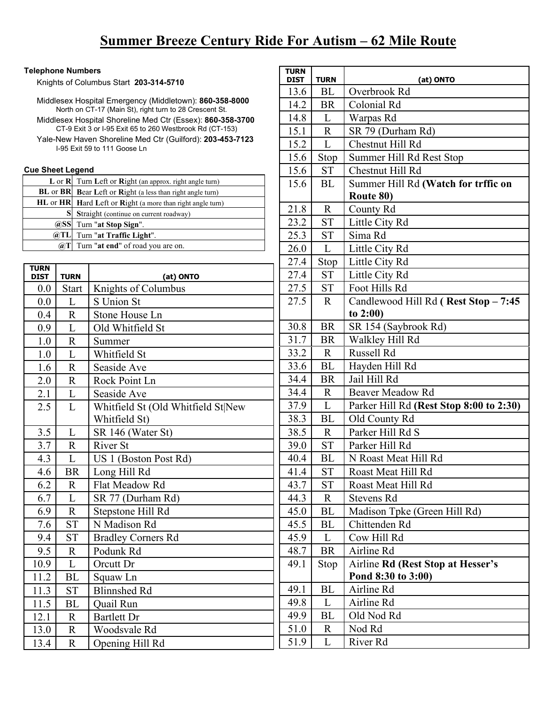#### **Telephone Numbers**

Knights of Columbus Start **203-314-5710**

Middlesex Hospital Emergency (Middletown): **860-358-8000** North on CT-17 (Main St), right turn to 28 Crescent St. Middlesex Hospital Shoreline Med Ctr (Essex): **860-358-3700** CT-9 Exit 3 or I-95 Exit 65 to 260 Westbrook Rd (CT-153) Yale-New Haven Shoreline Med Ctr (Guilford): **203-453-7123** I-95 Exit 59 to 111 Goose Ln

#### **Cue Sheet Legend**

|       | $L$ or $R$ Turn Left or $Right$ (an approx. right angle turn) |
|-------|---------------------------------------------------------------|
|       | BL or BR Bear Left or Right (a less than right angle turn)    |
|       | HL or HR Hard Left or Right (a more than right angle turn)    |
|       | Straight (continue on current roadway)                        |
|       | @SS Turn "at Stop Sign".                                      |
| @TL   | Turn "at Traffic Light".                                      |
| (a)'] | Turn "at end" of road you are on.                             |

| <b>TURN</b><br><b>DIST</b> | <b>TURN</b>    | (at) ONTO                          |
|----------------------------|----------------|------------------------------------|
| 0.0                        | <b>Start</b>   | Knights of Columbus                |
| 0.0                        | L              | S Union St                         |
| 0.4                        | $\overline{R}$ | Stone House Ln                     |
| 0.9                        | L              | Old Whitfield St                   |
| 1.0                        | $\overline{R}$ | Summer                             |
| 1.0                        | L              | Whitfield St                       |
| 1.6                        | $\mathbf R$    | Seaside Ave                        |
| 2.0                        | $\mathbf R$    | Rock Point Ln                      |
| 2.1                        | L              | Seaside Ave                        |
| 2.5                        | L              | Whitfield St (Old Whitfield St New |
|                            |                | Whitfield St)                      |
| 3.5                        | L              | SR 146 (Water St)                  |
| 3.7                        | $\overline{R}$ | <b>River St</b>                    |
| 4.3                        | L              | US 1 (Boston Post Rd)              |
| 4.6                        | <b>BR</b>      | Long Hill Rd                       |
| 6.2                        | $\mathbf{R}$   | Flat Meadow Rd                     |
| 6.7                        | L              | SR 77 (Durham Rd)                  |
| 6.9                        | $\mathbf R$    | Stepstone Hill Rd                  |
| 7.6                        | <b>ST</b>      | N Madison Rd                       |
| 9.4                        | <b>ST</b>      | <b>Bradley Corners Rd</b>          |
| 9.5                        | $\mathbf{R}$   | Podunk Rd                          |
| 10.9                       | L              | Orcutt Dr                          |
| 11.2                       | BL             | Squaw Ln                           |
| 11.3                       | <b>ST</b>      | <b>Blinnshed Rd</b>                |
| 11.5                       | <b>BL</b>      | Quail Run                          |
| 12.1                       | $\mathbf R$    | <b>Bartlett Dr</b>                 |
| 13.0                       | $\mathbf R$    | Woodsvale Rd                       |
| 13.4                       | $\mathbb{R}$   | Opening Hill Rd                    |

| TURN<br><b>DIST</b> | TURN         | (at) ONTO                                |
|---------------------|--------------|------------------------------------------|
| 13.6                | BL           | Overbrook Rd                             |
| 14.2                | <b>BR</b>    | Colonial Rd                              |
| 14.8                | L            | Warpas Rd                                |
| 15.1                | R            | SR 79 (Durham Rd)                        |
| 15.2                | L            | Chestnut Hill Rd                         |
| 15.6                | Stop         | Summer Hill Rd Rest Stop                 |
| 15.6                | <b>ST</b>    | Chestnut Hill Rd                         |
| 15.6                | BL           | Summer Hill Rd (Watch for trffic on      |
|                     |              | Route 80)                                |
| 21.8                | $\mathbf R$  | County Rd                                |
| 23.2                | <b>ST</b>    | Little City Rd                           |
| 25.3                | ST           | Sima Rd                                  |
| 26.0                | L            | Little City Rd                           |
| 27.4                | Stop         | Little City Rd                           |
| 27.4                | <b>ST</b>    | Little City Rd                           |
| 27.5                | <b>ST</b>    | Foot Hills Rd                            |
| 27.5                | $\mathbf{R}$ | Candlewood Hill Rd (Rest Stop - 7:45     |
|                     |              | to $2:00$                                |
| 30.8                | <b>BR</b>    | SR 154 (Saybrook Rd)                     |
| 31.7                | <b>BR</b>    | Walkley Hill Rd                          |
| 33.2                | $\mathbf{R}$ | Russell Rd                               |
| 33.6                | BL           | Hayden Hill Rd                           |
| 34.4                | <b>BR</b>    | Jail Hill Rd                             |
| 34.4                | R.           | <b>Beaver Meadow Rd</b>                  |
| 37.9                | L            | Parker Hill Rd (Rest Stop 8:00 to 2:30)  |
| 38.3                | BL           | Old County Rd                            |
| 38.5                | $\mathbf R$  | Parker Hill Rd S                         |
| 39.0                | <b>ST</b>    | Parker Hill Rd                           |
| 40.4                | BL           | N Roast Meat Hill Rd                     |
| 41.4                | ST           | Roast Meat Hill Rd                       |
| 43.7                | ST           | Roast Meat Hill Rd                       |
| 44.3                | R            | Stevens Rd                               |
| 45.0                | BL           | Madison Tpke (Green Hill Rd)             |
| 45.5                | ВL           | Chittenden Rd                            |
| 45.9                | L            | Cow Hill Rd                              |
| 48.7                | <b>BR</b>    | Airline Rd                               |
| 49.1                | Stop         | <b>Airline Rd (Rest Stop at Hesser's</b> |
|                     |              | Pond 8:30 to 3:00)                       |
| 49.1                | BL           | Airline Rd                               |
| 49.8                | L            | Airline Rd                               |
| 49.9                | BL           | Old Nod Rd                               |
| 51.0                | R            | Nod Rd                                   |
| 51.9                | L            | River Rd                                 |